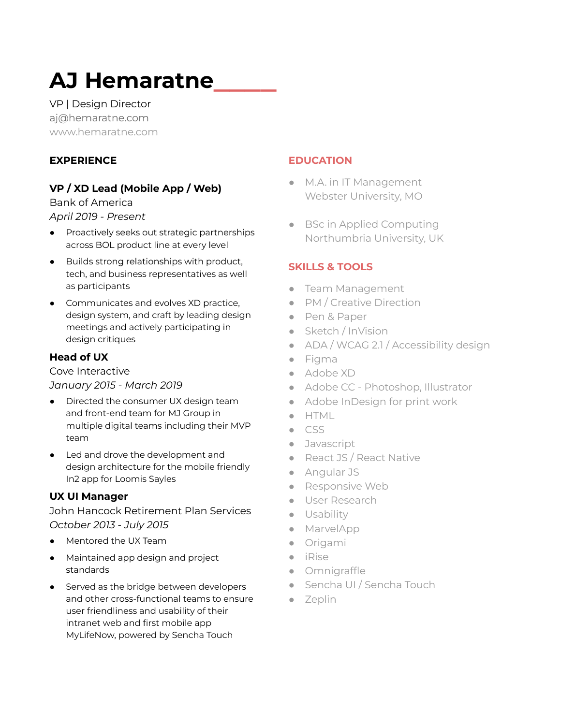# **AJ Hemaratne\_\_\_\_**

VP | Design Director aj@hemaratne.com www.hemaratne.com

## **EXPERIENCE**

# **VP / XD Lead (Mobile App / Web)**

Bank of America *April 2019 - Present*

- Proactively seeks out strategic partnerships across BOL product line at every level
- Builds strong relationships with product, tech, and business representatives as well as participants
- Communicates and evolves XD practice, design system, and craft by leading design meetings and actively participating in design critiques

# **Head of UX**

Cove Interactive *January 2015 - March 2019*

- Directed the consumer UX design team and front-end team for MJ Group in multiple digital teams including their MVP team
- Led and drove the development and design architecture for the mobile friendly In2 app for Loomis Sayles

## **UX UI Manager**

John Hancock Retirement Plan Services *October 2013 - July 2015*

- Mentored the UX Team
- Maintained app design and project standards
- Served as the bridge between developers and other cross-functional teams to ensure user friendliness and usability of their intranet web and first mobile app MyLifeNow, powered by Sencha Touch

## **EDUCATION**

- M.A. in IT Management Webster University, MO
- BSc in Applied Computing Northumbria University, UK

## **SKILLS & TOOLS**

- Team Management
- PM / Creative Direction
- Pen & Paper
- Sketch / InVision
- ADA / WCAG 2.1 / Accessibility design
- Figma
- Adobe XD
- Adobe CC Photoshop, Illustrator
- Adobe InDesign for print work
- HTML
- CSS
- Javascript
- React JS / React Native
- Angular JS
- Responsive Web
- User Research
- Usability
- MarvelApp
- Origami
- iRise
- Omnigraffle
- Sencha UI / Sencha Touch
- Zeplin